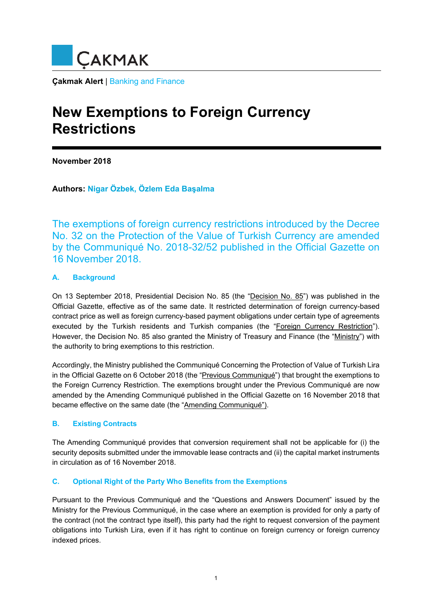

**Çakmak Alert** | Banking and Finance

# **New Exemptions to Foreign Currency Restrictions**

**November 2018** 

**Authors: Nigar Özbek, Özlem Eda Başalma**

The exemptions of foreign currency restrictions introduced by the Decree No. 32 on the Protection of the Value of Turkish Currency are amended by the Communiqué No. 2018-32/52 published in the Official Gazette on 16 November 2018.

# **A. Background**

On 13 September 2018, Presidential Decision No. 85 (the "Decision No. 85") was published in the Official Gazette, effective as of the same date. It restricted determination of foreign currency-based contract price as well as foreign currency-based payment obligations under certain type of agreements executed by the Turkish residents and Turkish companies (the "Foreign Currency Restriction"). However, the Decision No. 85 also granted the Ministry of Treasury and Finance (the "Ministry") with the authority to bring exemptions to this restriction.

Accordingly, the Ministry published the Communiqué Concerning the Protection of Value of Turkish Lira in the Official Gazette on 6 October 2018 (the "Previous Communiqué") that brought the exemptions to the Foreign Currency Restriction. The exemptions brought under the Previous Communiqué are now amended by the Amending Communiqué published in the Official Gazette on 16 November 2018 that became effective on the same date (the "Amending Communiqué").

## **B. Existing Contracts**

The Amending Communiqué provides that conversion requirement shall not be applicable for (i) the security deposits submitted under the immovable lease contracts and (ii) the capital market instruments in circulation as of 16 November 2018.

## **C. Optional Right of the Party Who Benefits from the Exemptions**

Pursuant to the Previous Communiqué and the "Questions and Answers Document" issued by the Ministry for the Previous Communiqué, in the case where an exemption is provided for only a party of the contract (not the contract type itself), this party had the right to request conversion of the payment obligations into Turkish Lira, even if it has right to continue on foreign currency or foreign currency indexed prices.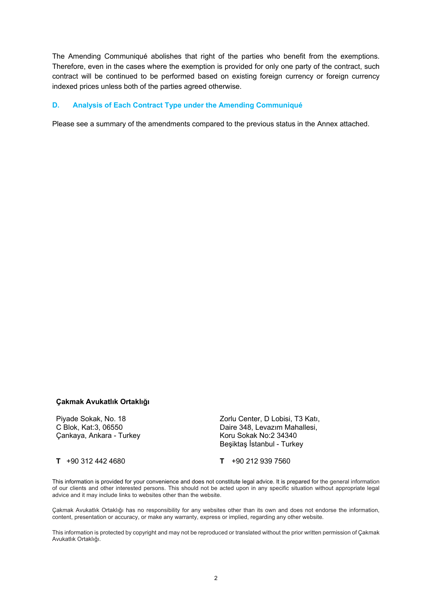The Amending Communiqué abolishes that right of the parties who benefit from the exemptions. Therefore, even in the cases where the exemption is provided for only one party of the contract, such contract will be continued to be performed based on existing foreign currency or foreign currency indexed prices unless both of the parties agreed otherwise.

#### **D. Analysis of Each Contract Type under the Amending Communiqué**

Please see a summary of the amendments compared to the previous status in the Annex attached.

#### **Çakmak Avukatlık Ortaklığı**

Piyade Sokak, No. 18 C Blok, Kat:3, 06550 Çankaya, Ankara - Turkey

Zorlu Center, D Lobisi, T3 Katı, Daire 348, Levazım Mahallesi, Koru Sokak No:2 34340 Beşiktaş İstanbul - Turkey

**T** +90 312 442 4680 **T** +90 212 939 7560

This information is provided for your convenience and does not constitute legal advice. It is prepared for the general information of our clients and other interested persons. This should not be acted upon in any specific situation without appropriate legal advice and it may include links to websites other than the website.

Çakmak Avukatlık Ortaklığı has no responsibility for any websites other than its own and does not endorse the information, content, presentation or accuracy, or make any warranty, express or implied, regarding any other website.

This information is protected by copyright and may not be reproduced or translated without the prior written permission of Çakmak Avukatlık Ortaklığı.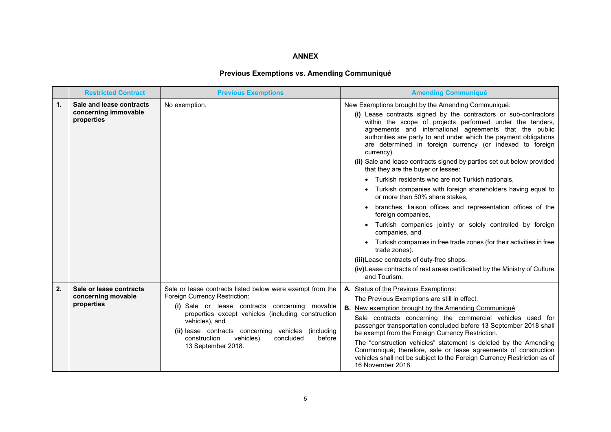#### **ANNEX**

# **Previous Exemptions vs. Amending Communiqué**

|    | <b>Restricted Contract</b>                                     | <b>Previous Exemptions</b>                                                                                                                                                                                                                                                                                                                                | <b>Amending Communiqué</b>                                                                                                                                                                                                                                                                                                                                                                                                                                                                                                                                                                                                                                                                                                                                                                                                                                                                                                                                                                                                                                                |
|----|----------------------------------------------------------------|-----------------------------------------------------------------------------------------------------------------------------------------------------------------------------------------------------------------------------------------------------------------------------------------------------------------------------------------------------------|---------------------------------------------------------------------------------------------------------------------------------------------------------------------------------------------------------------------------------------------------------------------------------------------------------------------------------------------------------------------------------------------------------------------------------------------------------------------------------------------------------------------------------------------------------------------------------------------------------------------------------------------------------------------------------------------------------------------------------------------------------------------------------------------------------------------------------------------------------------------------------------------------------------------------------------------------------------------------------------------------------------------------------------------------------------------------|
| 1. | Sale and lease contracts<br>concerning immovable<br>properties | No exemption.                                                                                                                                                                                                                                                                                                                                             | New Exemptions brought by the Amending Communiqué:<br>(i) Lease contracts signed by the contractors or sub-contractors<br>within the scope of projects performed under the tenders,<br>agreements and international agreements that the public<br>authorities are party to and under which the payment obligations<br>are determined in foreign currency (or indexed to foreign<br>currency).<br>(ii) Sale and lease contracts signed by parties set out below provided<br>that they are the buyer or lessee:<br>Turkish residents who are not Turkish nationals.<br>Turkish companies with foreign shareholders having equal to<br>or more than 50% share stakes,<br>branches, liaison offices and representation offices of the<br>foreign companies,<br>Turkish companies jointly or solely controlled by foreign<br>companies, and<br>Turkish companies in free trade zones (for their activities in free<br>trade zones).<br>(iii) Lease contracts of duty-free shops.<br>(iv) Lease contracts of rest areas certificated by the Ministry of Culture<br>and Tourism. |
| 2. | Sale or lease contracts<br>concerning movable<br>properties    | Sale or lease contracts listed below were exempt from the<br>Foreign Currency Restriction:<br>(i) Sale or lease contracts concerning movable<br>properties except vehicles (including construction<br>vehicles), and<br>(ii) lease contracts concerning vehicles<br>(including)<br>construction<br>vehicles)<br>concluded<br>before<br>13 September 2018. | A. Status of the Previous Exemptions:<br>The Previous Exemptions are still in effect.<br><b>B.</b><br>New exemption brought by the Amending Communiqué:<br>Sale contracts concerning the commercial vehicles used for<br>passenger transportation concluded before 13 September 2018 shall<br>be exempt from the Foreign Currency Restriction.<br>The "construction vehicles" statement is deleted by the Amending<br>Communiqué; therefore, sale or lease agreements of construction<br>vehicles shall not be subject to the Foreign Currency Restriction as of<br>16 November 2018.                                                                                                                                                                                                                                                                                                                                                                                                                                                                                     |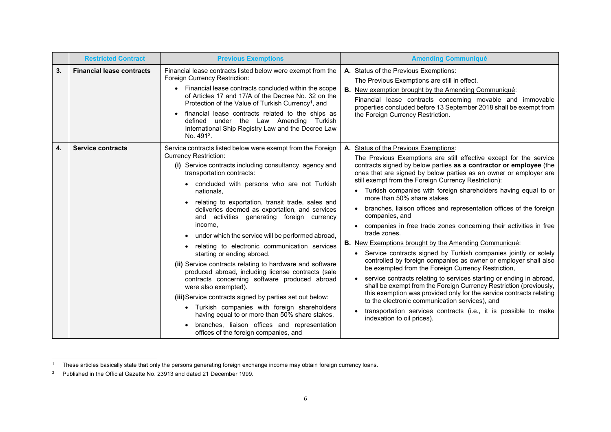|    | <b>Restricted Contract</b>       | <b>Previous Exemptions</b>                                                                                                                                                                                                                                                                                                                                                                                                                                                                                                                                                                                                                                                                                                                                                                                                                                                                                                                                                                           | <b>Amending Communiqué</b>                                                                                                                                                                                                                                                                                                                                                                                                                                                                                                                                                                                                                                                                                                                                                                                                                                                                                                                                                                                                                                                                                                                                                                                                                        |
|----|----------------------------------|------------------------------------------------------------------------------------------------------------------------------------------------------------------------------------------------------------------------------------------------------------------------------------------------------------------------------------------------------------------------------------------------------------------------------------------------------------------------------------------------------------------------------------------------------------------------------------------------------------------------------------------------------------------------------------------------------------------------------------------------------------------------------------------------------------------------------------------------------------------------------------------------------------------------------------------------------------------------------------------------------|---------------------------------------------------------------------------------------------------------------------------------------------------------------------------------------------------------------------------------------------------------------------------------------------------------------------------------------------------------------------------------------------------------------------------------------------------------------------------------------------------------------------------------------------------------------------------------------------------------------------------------------------------------------------------------------------------------------------------------------------------------------------------------------------------------------------------------------------------------------------------------------------------------------------------------------------------------------------------------------------------------------------------------------------------------------------------------------------------------------------------------------------------------------------------------------------------------------------------------------------------|
| 3. | <b>Financial lease contracts</b> | Financial lease contracts listed below were exempt from the<br>Foreign Currency Restriction:<br>• Financial lease contracts concluded within the scope<br>of Articles 17 and 17/A of the Decree No. 32 on the<br>Protection of the Value of Turkish Currency <sup>1</sup> , and<br>financial lease contracts related to the ships as<br>defined under the Law Amending Turkish<br>International Ship Registry Law and the Decree Law<br>No. 491 <sup>2</sup> .                                                                                                                                                                                                                                                                                                                                                                                                                                                                                                                                       | A. Status of the Previous Exemptions:<br>The Previous Exemptions are still in effect.<br><b>B.</b><br>New exemption brought by the Amending Communiqué:<br>Financial lease contracts concerning movable and immovable<br>properties concluded before 13 September 2018 shall be exempt from<br>the Foreign Currency Restriction.                                                                                                                                                                                                                                                                                                                                                                                                                                                                                                                                                                                                                                                                                                                                                                                                                                                                                                                  |
| 4. | <b>Service contracts</b>         | Service contracts listed below were exempt from the Foreign<br><b>Currency Restriction:</b><br>(i) Service contracts including consultancy, agency and<br>transportation contracts:<br>concluded with persons who are not Turkish<br>nationals,<br>relating to exportation, transit trade, sales and<br>deliveries deemed as exportation, and services<br>and activities generating foreign currency<br>income,<br>under which the service will be performed abroad,<br>relating to electronic communication services<br>starting or ending abroad.<br>(ii) Service contracts relating to hardware and software<br>produced abroad, including license contracts (sale<br>contracts concerning software produced abroad<br>were also exempted).<br>(iii) Service contracts signed by parties set out below:<br>Turkish companies with foreign shareholders<br>having equal to or more than 50% share stakes,<br>branches, liaison offices and representation<br>offices of the foreign companies, and | Status of the Previous Exemptions:<br>А.<br>The Previous Exemptions are still effective except for the service<br>contracts signed by below parties as a contractor or employee (the<br>ones that are signed by below parties as an owner or employer are<br>still exempt from the Foreign Currency Restriction):<br>Turkish companies with foreign shareholders having equal to or<br>more than 50% share stakes,<br>branches, liaison offices and representation offices of the foreign<br>companies, and<br>companies in free trade zones concerning their activities in free<br>$\bullet$<br>trade zones.<br><b>B.</b> New Exemptions brought by the Amending Communiqué:<br>Service contracts signed by Turkish companies jointly or solely<br>controlled by foreign companies as owner or employer shall also<br>be exempted from the Foreign Currency Restriction,<br>service contracts relating to services starting or ending in abroad,<br>shall be exempt from the Foreign Currency Restriction (previously,<br>this exemption was provided only for the service contracts relating<br>to the electronic communication services), and<br>transportation services contracts (i.e., it is possible to make<br>indexation to oil prices). |

<sup>&</sup>lt;sup>1</sup> These articles basically state that only the persons generating foreign exchange income may obtain foreign currency loans.

<sup>&</sup>lt;sup>2</sup> Published in the Official Gazette No. 23913 and dated 21 December 1999.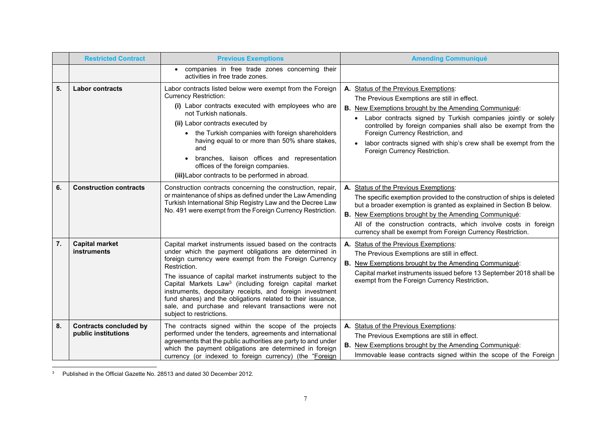|    | <b>Restricted Contract</b>                           | <b>Previous Exemptions</b>                                                                                                                                                                                                                                                                                                                                                                                                                                                                                                                     | <b>Amending Communiqué</b>                                                                                                                                                                                                                                                                                                                                                                                                          |
|----|------------------------------------------------------|------------------------------------------------------------------------------------------------------------------------------------------------------------------------------------------------------------------------------------------------------------------------------------------------------------------------------------------------------------------------------------------------------------------------------------------------------------------------------------------------------------------------------------------------|-------------------------------------------------------------------------------------------------------------------------------------------------------------------------------------------------------------------------------------------------------------------------------------------------------------------------------------------------------------------------------------------------------------------------------------|
|    |                                                      | • companies in free trade zones concerning their<br>activities in free trade zones.                                                                                                                                                                                                                                                                                                                                                                                                                                                            |                                                                                                                                                                                                                                                                                                                                                                                                                                     |
| 5. | <b>Labor contracts</b>                               | Labor contracts listed below were exempt from the Foreign<br><b>Currency Restriction:</b><br>(i) Labor contracts executed with employees who are<br>not Turkish nationals.<br>(ii) Labor contracts executed by<br>• the Turkish companies with foreign shareholders<br>having equal to or more than 50% share stakes,<br>and<br>branches, liaison offices and representation<br>offices of the foreign companies.<br>(iii) Labor contracts to be performed in abroad.                                                                          | A. Status of the Previous Exemptions:<br>The Previous Exemptions are still in effect.<br><b>B.</b> New Exemptions brought by the Amending Communiqué:<br>• Labor contracts signed by Turkish companies jointly or solely<br>controlled by foreign companies shall also be exempt from the<br>Foreign Currency Restriction, and<br>labor contracts signed with ship's crew shall be exempt from the<br>Foreign Currency Restriction. |
| 6. | <b>Construction contracts</b>                        | Construction contracts concerning the construction, repair,<br>or maintenance of ships as defined under the Law Amending<br>Turkish International Ship Registry Law and the Decree Law<br>No. 491 were exempt from the Foreign Currency Restriction.                                                                                                                                                                                                                                                                                           | A. Status of the Previous Exemptions:<br>The specific exemption provided to the construction of ships is deleted<br>but a broader exemption is granted as explained in Section B below.<br><b>B.</b> New Exemptions brought by the Amending Communiqué:<br>All of the construction contracts, which involve costs in foreign<br>currency shall be exempt from Foreign Currency Restriction.                                         |
| 7. | <b>Capital market</b><br>instruments                 | Capital market instruments issued based on the contracts<br>under which the payment obligations are determined in<br>foreign currency were exempt from the Foreign Currency<br>Restriction.<br>The issuance of capital market instruments subject to the<br>Capital Markets Law <sup>3</sup> (including foreign capital market<br>instruments, depositary receipts, and foreign investment<br>fund shares) and the obligations related to their issuance,<br>sale, and purchase and relevant transactions were not<br>subject to restrictions. | Status of the Previous Exemptions:<br>The Previous Exemptions are still in effect.<br><b>B.</b> New Exemptions brought by the Amending Communiqué:<br>Capital market instruments issued before 13 September 2018 shall be<br>exempt from the Foreign Currency Restriction.                                                                                                                                                          |
| 8. | <b>Contracts concluded by</b><br>public institutions | The contracts signed within the scope of the projects<br>performed under the tenders, agreements and international<br>agreements that the public authorities are party to and under<br>which the payment obligations are determined in foreign<br>currency (or indexed to foreign currency) (the "Foreign                                                                                                                                                                                                                                      | A. Status of the Previous Exemptions:<br>The Previous Exemptions are still in effect.<br>B. New Exemptions brought by the Amending Communiqué:<br>Immovable lease contracts signed within the scope of the Foreign                                                                                                                                                                                                                  |

<sup>3</sup> Published in the Official Gazette No. 28513 and dated 30 December 2012.